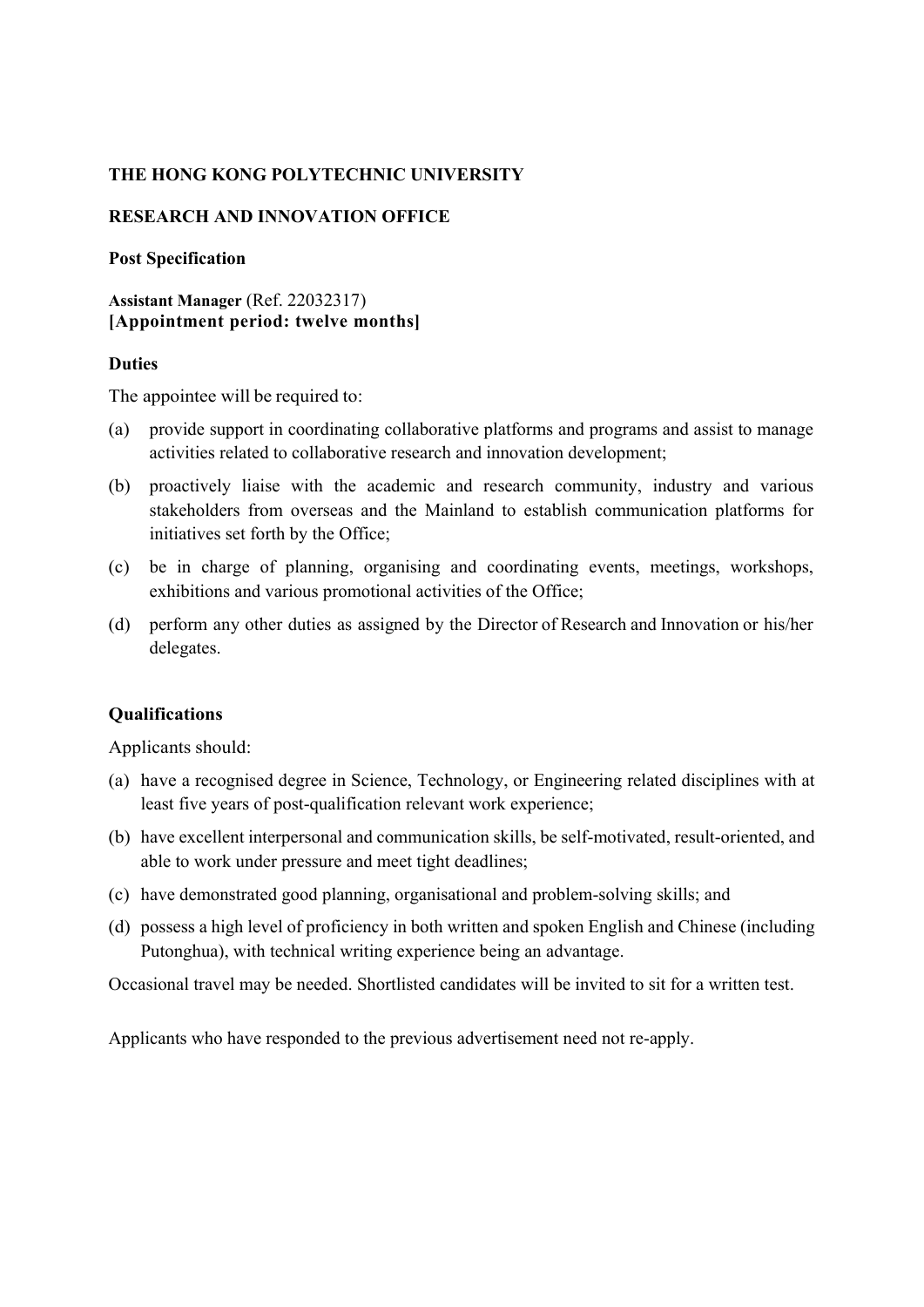# **THE HONG KONG POLYTECHNIC UNIVERSITY**

# **RESEARCH AND INNOVATION OFFICE**

### **Post Specification**

## **Assistant Manager** (Ref. 22032317) **[Appointment period: twelve months]**

### **Duties**

The appointee will be required to:

- (a) provide support in coordinating collaborative platforms and programs and assist to manage activities related to collaborative research and innovation development;
- (b) proactively liaise with the academic and research community, industry and various stakeholders from overseas and the Mainland to establish communication platforms for initiatives set forth by the Office;
- (c) be in charge of planning, organising and coordinating events, meetings, workshops, exhibitions and various promotional activities of the Office;
- (d) perform any other duties as assigned by the Director of Research and Innovation or his/her delegates.

### **Qualifications**

Applicants should:

- (a) have a recognised degree in Science, Technology, or Engineering related disciplines with at least five years of post-qualification relevant work experience;
- (b) have excellent interpersonal and communication skills, be self-motivated, result-oriented, and able to work under pressure and meet tight deadlines;
- (c) have demonstrated good planning, organisational and problem-solving skills; and
- (d) possess a high level of proficiency in both written and spoken English and Chinese (including Putonghua), with technical writing experience being an advantage.

Occasional travel may be needed. Shortlisted candidates will be invited to sit for a written test.

Applicants who have responded to the previous advertisement need not re-apply.